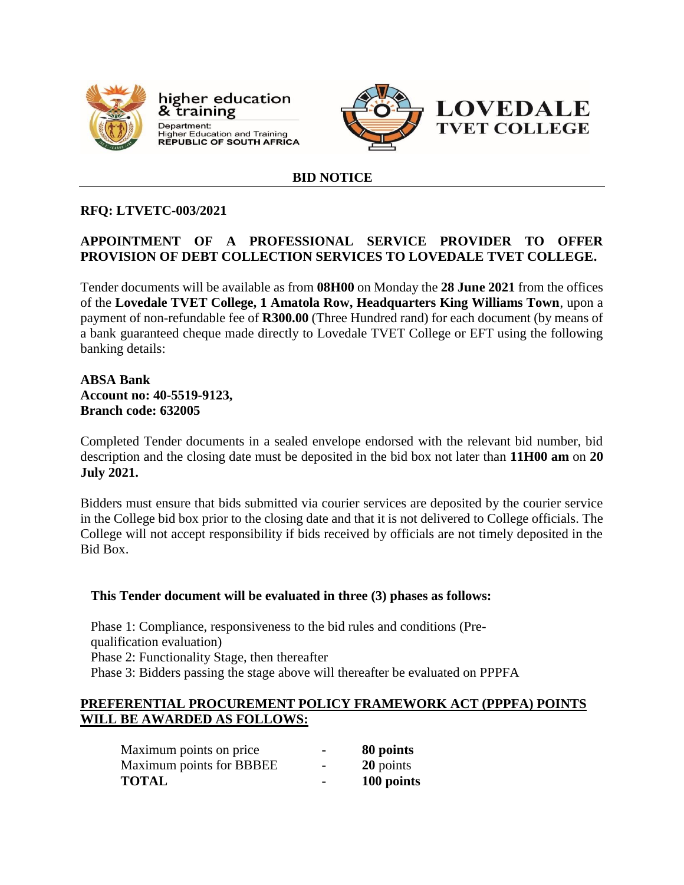

higher education & training Department: Department.<br>Higher Education and Training<br>REPUBLIC OF SOUTH AFRICA



#### **BID NOTICE**

#### **RFQ: LTVETC-003/2021**

# **APPOINTMENT OF A PROFESSIONAL SERVICE PROVIDER TO OFFER PROVISION OF DEBT COLLECTION SERVICES TO LOVEDALE TVET COLLEGE.**

Tender documents will be available as from **08H00** on Monday the **28 June 2021** from the offices of the **Lovedale TVET College, 1 Amatola Row, Headquarters King Williams Town**, upon a payment of non-refundable fee of **R300.00** (Three Hundred rand) for each document (by means of a bank guaranteed cheque made directly to Lovedale TVET College or EFT using the following banking details:

### **ABSA Bank Account no: 40-5519-9123, Branch code: 632005**

Completed Tender documents in a sealed envelope endorsed with the relevant bid number, bid description and the closing date must be deposited in the bid box not later than **11H00 am** on **20 July 2021.**

Bidders must ensure that bids submitted via courier services are deposited by the courier service in the College bid box prior to the closing date and that it is not delivered to College officials. The College will not accept responsibility if bids received by officials are not timely deposited in the Bid Box.

#### **This Tender document will be evaluated in three (3) phases as follows:**

Phase 1: Compliance, responsiveness to the bid rules and conditions (Prequalification evaluation) Phase 2: Functionality Stage, then thereafter Phase 3: Bidders passing the stage above will thereafter be evaluated on PPPFA

#### **PREFERENTIAL PROCUREMENT POLICY FRAMEWORK ACT (PPPFA) POINTS WILL BE AWARDED AS FOLLOWS:**

| Maximum points on price  | $\blacksquare$ | 80 points  |
|--------------------------|----------------|------------|
| Maximum points for BBBEE | $\blacksquare$ | 20 points  |
| <b>TOTAL</b>             | $\blacksquare$ | 100 points |